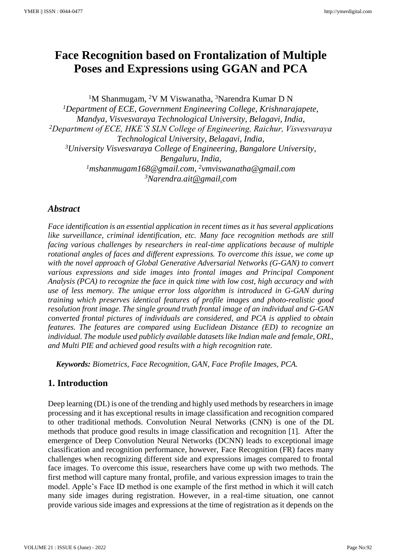# **Face Recognition based on Frontalization of Multiple Poses and Expressions using GGAN and PCA**

<sup>1</sup>M Shanmugam, <sup>2</sup>V M Viswanatha, <sup>3</sup>Narendra Kumar D N *<sup>1</sup>Department of ECE, Government Engineering College, Krishnarajapete, Mandya, Visvesvaraya Technological University, Belagavi, India, <sup>2</sup>Department of ECE, HKE'S SLN College of Engineering, Raichur, Visvesvaraya Technological University, Belagavi, India, <sup>3</sup>University Visvesvaraya College of Engineering, Bangalore University, Bengaluru, India, <sup>1</sup>[mshanmugam168@gmail.com,](about:blank) <sup>2</sup>vmviswanatha@gmail.com <sup>3</sup>[Narendra.ait@gmail.com](about:blank)*

# *Abstract*

*Face identification is an essential application in recent times as it has several applications like surveillance, criminal identification, etc. Many face recognition methods are still facing various challenges by researchers in real-time applications because of multiple rotational angles of faces and different expressions. To overcome this issue, we come up with the novel approach of Global Generative Adversarial Networks (G-GAN) to convert various expressions and side images into frontal images and Principal Component Analysis (PCA) to recognize the face in quick time with low cost, high accuracy and with use of less memory. The unique error loss algorithm is introduced in G-GAN during training which preserves identical features of profile images and photo-realistic good resolution front image. The single ground truth frontal image of an individual and G-GAN converted frontal pictures of individuals are considered, and PCA is applied to obtain features. The features are compared using Euclidean Distance (ED) to recognize an individual. The module used publicly available datasets like Indian male and female, ORL, and Multi PIE and achieved good results with a high recognition rate.*

*Keywords: Biometrics, Face Recognition, GAN, Face Profile Images, PCA.*

# **1. Introduction**

Deep learning (DL) is one of the trending and highly used methods by researchers in image processing and it has exceptional results in image classification and recognition compared to other traditional methods. Convolution Neural Networks (CNN) is one of the DL methods that produce good results in image classification and recognition [1]. After the emergence of Deep Convolution Neural Networks (DCNN) leads to exceptional image classification and recognition performance, however, Face Recognition (FR) faces many challenges when recognizing different side and expressions images compared to frontal face images. To overcome this issue, researchers have come up with two methods. The first method will capture many frontal, profile, and various expression images to train the model. Apple's Face ID method is one example of the first method in which it will catch many side images during registration. However, in a real-time situation, one cannot provide various side images and expressions at the time of registration as it depends on the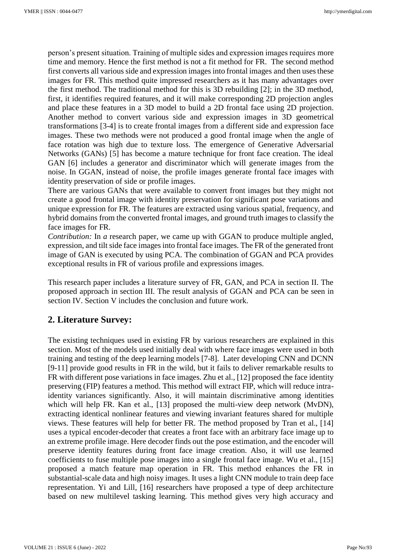person's present situation. Training of multiple sides and expression images requires more time and memory. Hence the first method is not a fit method for FR. The second method first converts all various side and expression images into frontal images and then uses these images for FR. This method quite impressed researchers as it has many advantages over the first method. The traditional method for this is 3D rebuilding [2]; in the 3D method, first, it identifies required features, and it will make corresponding 2D projection angles and place these features in a 3D model to build a 2D frontal face using 2D projection. Another method to convert various side and expression images in 3D geometrical transformations [3-4] is to create frontal images from a different side and expression face images. These two methods were not produced a good frontal image when the angle of face rotation was high due to texture loss. The emergence of Generative Adversarial Networks (GANs) [5] has become a mature technique for front face creation. The ideal GAN [6] includes a generator and discriminator which will generate images from the noise. In GGAN, instead of noise, the profile images generate frontal face images with identity preservation of side or profile images.

There are various GANs that were available to convert front images but they might not create a good frontal image with identity preservation for significant pose variations and unique expression for FR. The features are extracted using various spatial, frequency, and hybrid domains from the converted frontal images, and ground truth images to classify the face images for FR.

*Contribution:* In *a* research paper, we came up with GGAN to produce multiple angled, expression, and tilt side face images into frontal face images. The FR of the generated front image of GAN is executed by using PCA. The combination of GGAN and PCA provides exceptional results in FR of various profile and expressions images.

This research paper includes a literature survey of FR, GAN, and PCA in section II. The proposed approach in section III. The result analysis of GGAN and PCA can be seen in section IV. Section V includes the conclusion and future work.

# **2. Literature Survey:**

The existing techniques used in existing FR by various researchers are explained in this section. Most of the models used initially deal with where face images were used in both training and testing of the deep learning models [7-8]. Later developing CNN and DCNN [9-11] provide good results in FR in the wild, but it fails to deliver remarkable results to FR with different pose variations in face images. Zhu et al., [12] proposed the face identity preserving (FIP) features a method. This method will extract FIP, which will reduce intraidentity variances significantly. Also, it will maintain discriminative among identities which will help FR. Kan et al., [13] proposed the multi-view deep network (MvDN), extracting identical nonlinear features and viewing invariant features shared for multiple views. These features will help for better FR. The method proposed by Tran et al., [14] uses a typical encoder-decoder that creates a front face with an arbitrary face image up to an extreme profile image. Here decoder finds out the pose estimation, and the encoder will preserve identity features during front face image creation. Also, it will use learned coefficients to fuse multiple pose images into a single frontal face image. Wu et al., [15] proposed a match feature map operation in FR. This method enhances the FR in substantial-scale data and high noisy images. It uses a light CNN module to train deep face representation. Yi and Lill, [16] researchers have proposed a type of deep architecture based on new multilevel tasking learning. This method gives very high accuracy and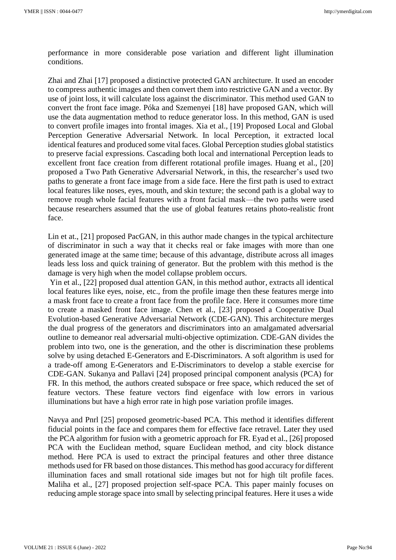performance in more considerable pose variation and different light illumination conditions.

Zhai and Zhai [17] proposed a distinctive protected GAN architecture. It used an encoder to compress authentic images and then convert them into restrictive GAN and a vector. By use of joint loss, it will calculate loss against the discriminator. This method used GAN to convert the front face image. Póka and Szemenyei [18] have proposed GAN, which will use the data augmentation method to reduce generator loss. In this method, GAN is used to convert profile images into frontal images. Xia et al., [19] Proposed Local and Global Perception Generative Adversarial Network. In local Perception, it extracted local identical features and produced some vital faces. Global Perception studies global statistics to preserve facial expressions. Cascading both local and international Perception leads to excellent front face creation from different rotational profile images. Huang et al., [20] proposed a Two Path Generative Adversarial Network, in this, the researcher's used two paths to generate a front face image from a side face. Here the first path is used to extract local features like noses, eyes, mouth, and skin texture; the second path is a global way to remove rough whole facial features with a front facial mask—the two paths were used because researchers assumed that the use of global features retains photo-realistic front face.

Lin et at., [21] proposed PacGAN, in this author made changes in the typical architecture of discriminator in such a way that it checks real or fake images with more than one generated image at the same time; because of this advantage, distribute across all images leads less loss and quick training of generator. But the problem with this method is the damage is very high when the model collapse problem occurs.

Yin et al., [22] proposed dual attention GAN, in this method author, extracts all identical local features like eyes, noise, etc., from the profile image then these features merge into a mask front face to create a front face from the profile face. Here it consumes more time to create a masked front face image. Chen et al., [23] proposed a Cooperative Dual Evolution-based Generative Adversarial Network (CDE-GAN). This architecture merges the dual progress of the generators and discriminators into an amalgamated adversarial outline to demeanor real adversarial multi-objective optimization. CDE-GAN divides the problem into two, one is the generation, and the other is discrimination these problems solve by using detached E-Generators and E-Discriminators. A soft algorithm is used for a trade-off among E-Generators and E-Discriminators to develop a stable exercise for CDE-GAN. Sukanya and Pallavi [24] proposed principal component analysis (PCA) for FR. In this method, the authors created subspace or free space, which reduced the set of feature vectors. These feature vectors find eigenface with low errors in various illuminations but have a high error rate in high pose variation profile images.

Navya and Pnrl [25] proposed geometric-based PCA. This method it identifies different fiducial points in the face and compares them for effective face retravel. Later they used the PCA algorithm for fusion with a geometric approach for FR. Eyad et al., [26] proposed PCA with the Euclidean method, square Euclidean method, and city block distance method. Here PCA is used to extract the principal features and other three distance methods used for FR based on those distances. This method has good accuracy for different illumination faces and small rotational side images but not for high tilt profile faces. Maliha et al., [27] proposed projection self-space PCA. This paper mainly focuses on reducing ample storage space into small by selecting principal features. Here it uses a wide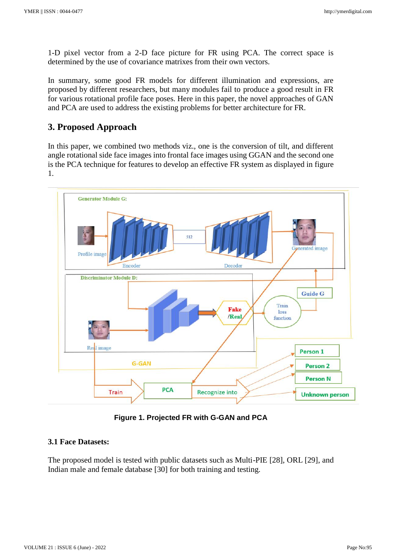1-D pixel vector from a 2-D face picture for FR using PCA. The correct space is determined by the use of covariance matrixes from their own vectors.

In summary, some good FR models for different illumination and expressions, are proposed by different researchers, but many modules fail to produce a good result in FR for various rotational profile face poses. Here in this paper, the novel approaches of GAN and PCA are used to address the existing problems for better architecture for FR.

## **3. Proposed Approach**

In this paper, we combined two methods viz., one is the conversion of tilt, and different angle rotational side face images into frontal face images using GGAN and the second one is the PCA technique for features to develop an effective FR system as displayed in figure 1.



**Figure 1. Projected FR with G-GAN and PCA**

### **3.1 Face Datasets:**

The proposed model is tested with public datasets such as Multi-PIE [28], ORL [29], and Indian male and female database [30] for both training and testing.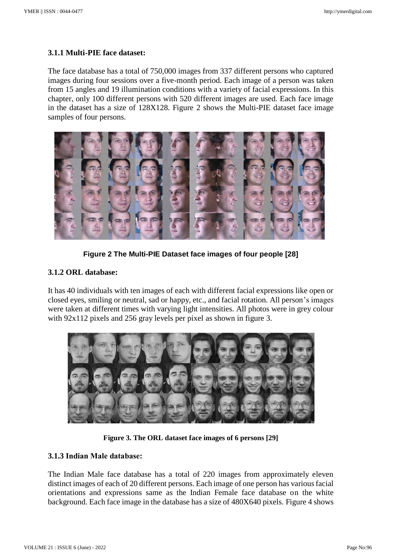### **3.1.1 Multi-PIE face dataset:**

The face database has a total of 750,000 images from 337 different persons who captured images during four sessions over a five-month period. Each image of a person was taken from 15 angles and 19 illumination conditions with a variety of facial expressions. In this chapter, only 100 different persons with 520 different images are used. Each face image in the dataset has a size of 128X128. Figure 2 shows the Multi-PIE dataset face image samples of four persons.



**Figure 2 The Multi-PIE Dataset face images of four people [28]**

### **3.1.2 ORL database:**

It has 40 individuals with ten images of each with different facial expressions like open or closed eyes, smiling or neutral, sad or happy, etc., and facial rotation. All person's images were taken at different times with varying light intensities. All photos were in grey colour with 92x112 pixels and 256 gray levels per pixel as shown in figure 3.



**Figure 3. The ORL dataset face images of 6 persons [29]**

### **3.1.3 Indian Male database:**

The Indian Male face database has a total of 220 images from approximately eleven distinct images of each of 20 different persons. Each image of one person has various facial orientations and expressions same as the Indian Female face database on the white background. Each face image in the database has a size of 480X640 pixels. Figure 4 shows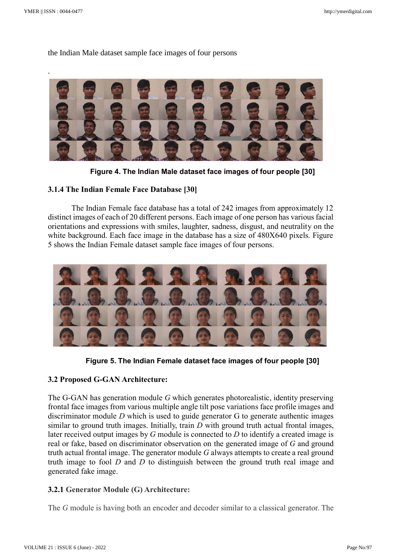### the Indian Male dataset sample face images of four persons



**Figure 4. The Indian Male dataset face images of four people [30]**

### **3.1.4 The Indian Female Face Database [30]**

The Indian Female face database has a total of 242 images from approximately 12 distinct images of each of 20 different persons. Each image of one person has various facial orientations and expressions with smiles, laughter, sadness, disgust, and neutrality on the white background. Each face image in the database has a size of 480X640 pixels. Figure 5 shows the Indian Female dataset sample face images of four persons.



**Figure 5. The Indian Female dataset face images of four people [30]**

#### **3.2 Proposed G-GAN Architecture:**

The G-GAN has generation module *G* which generates photorealistic, identity preserving frontal face images from various multiple angle tilt pose variations face profile images and discriminator module *D* which is used to guide generator G to generate authentic images similar to ground truth images. Initially, train *D* with ground truth actual frontal images, later received output images by *G* module is connected to *D* to identify a created image is real or fake, based on discriminator observation on the generated image of *G* and ground truth actual frontal image. The generator module *G* always attempts to create a real ground truth image to fool *D* and *D* to distinguish between the ground truth real image and generated fake image.

#### **3.2.1 Generator Module (G) Architecture:**

The *G* module is having both an encoder and decoder similar to a classical generator. The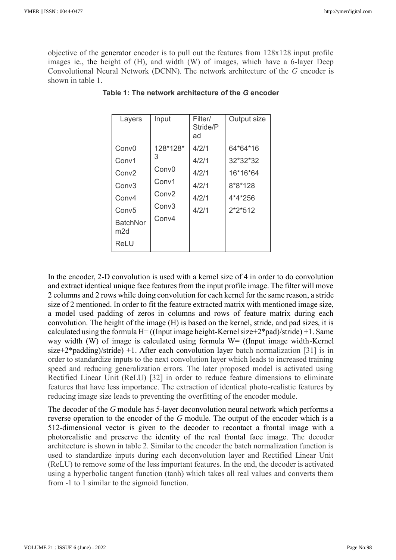objective of the generator encoder is to pull out the features from 128x128 input profile images ie., the height of (H), and width (W) of images, which have a 6-layer Deep Convolutional Neural Network (DCNN). The network architecture of the *G* encoder is shown in table 1.

| Layers                 | Input             | Filter/<br>Stride/P<br>ad | Output size |
|------------------------|-------------------|---------------------------|-------------|
| Conv <sub>0</sub>      | 128*128*          | 4/2/1                     | 64*64*16    |
| Conv1                  | З                 | 4/2/1                     | 32*32*32    |
| Conv <sub>2</sub>      | Conv <sub>0</sub> | 4/2/1                     | 16*16*64    |
| Conv <sub>3</sub>      | Conv1             | 4/2/1                     | 8*8*128     |
| Conv4                  | Conv <sub>2</sub> | 4/2/1                     | 4*4*256     |
| Conv <sub>5</sub>      | Conv <sub>3</sub> | 4/2/1                     | $2*2*512$   |
| <b>BatchNor</b><br>m2d | Conv4             |                           |             |
| ReLU                   |                   |                           |             |

**Table 1: The network architecture of the** *G* **encoder**

In the encoder, 2-D convolution is used with a kernel size of 4 in order to do convolution and extract identical unique face features from the input profile image. The filter will move 2 columns and 2 rows while doing convolution for each kernel for the same reason, a stride size of 2 mentioned. In order to fit the feature extracted matrix with mentioned image size, a model used padding of zeros in columns and rows of feature matrix during each convolution. The height of the image (H) is based on the kernel, stride, and pad sizes, it is calculated using the formula  $H=$  ((Input image height-Kernel size+2\*pad)/stride) +1. Same way width (W) of image is calculated using formula  $W=$  ((Input image width-Kernel size+2\*padding)/stride) +1. After each convolution layer batch normalization [31] is in order to standardize inputs to the next convolution layer which leads to increased training speed and reducing generalization errors. The later proposed model is activated using Rectified Linear Unit (ReLU) [32] in order to reduce feature dimensions to eliminate features that have less importance. The extraction of identical photo-realistic features by reducing image size leads to preventing the overfitting of the encoder module.

The decoder of the *G* module has 5-layer deconvolution neural network which performs a reverse operation to the encoder of the *G* module. The output of the encoder which is a 512-dimensional vector is given to the decoder to recontact a frontal image with a photorealistic and preserve the identity of the real frontal face image. The decoder architecture is shown in table 2. Similar to the encoder the batch normalization function is used to standardize inputs during each deconvolution layer and Rectified Linear Unit (ReLU) to remove some of the less important features. In the end, the decoder is activated using a hyperbolic tangent function (tanh) which takes all real values and converts them from -1 to 1 similar to the sigmoid function.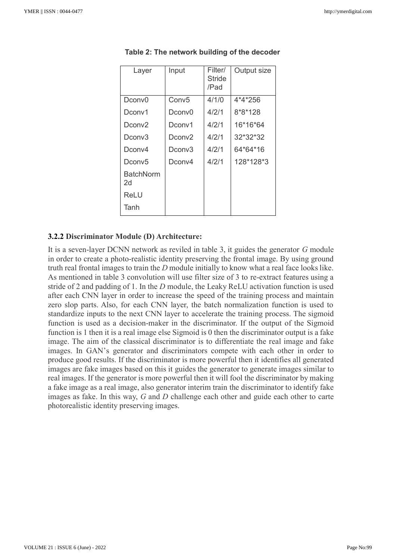| Layer              | Input             | Filter/<br>Stride<br>/Pad | Output size |
|--------------------|-------------------|---------------------------|-------------|
| Dconv0             | Conv <sub>5</sub> | 4/1/0                     | 4*4*256     |
| Dconv1             | Dconv0            | 4/2/1                     | 8*8*128     |
| Dconv <sub>2</sub> | Dconv1            | 4/2/1                     | 16*16*64    |
| Dconv3             | Dconv2            | 4/2/1                     | 32*32*32    |
| Dconv4             | Dconv3            | 4/2/1                     | 64*64*16    |
| Dconv <sub>5</sub> | Dconv4            | 4/2/1                     | 128*128*3   |
| BatchNorm<br>2d    |                   |                           |             |
| ReLU               |                   |                           |             |
| Tanh               |                   |                           |             |

**Table 2: The network building of the decoder**

#### **3.2.2 Discriminator Module (D) Architecture:**

It is a seven-layer DCNN network as reviled in table 3, it guides the generator *G* module in order to create a photo-realistic identity preserving the frontal image. By using ground truth real frontal images to train the *D* module initially to know what a real face looks like. As mentioned in table 3 convolution will use filter size of 3 to re-extract features using a stride of 2 and padding of 1. In the *D* module, the Leaky ReLU activation function is used after each CNN layer in order to increase the speed of the training process and maintain zero slop parts. Also, for each CNN layer, the batch normalization function is used to standardize inputs to the next CNN layer to accelerate the training process. The sigmoid function is used as a decision-maker in the discriminator. If the output of the Sigmoid function is 1 then it is a real image else Sigmoid is 0 then the discriminator output is a fake image. The aim of the classical discriminator is to differentiate the real image and fake images. In GAN's generator and discriminators compete with each other in order to produce good results. If the discriminator is more powerful then it identifies all generated images are fake images based on this it guides the generator to generate images similar to real images. If the generator is more powerful then it will fool the discriminator by making a fake image as a real image, also generator interim train the discriminator to identify fake images as fake. In this way, *G* and *D* challenge each other and guide each other to carte photorealistic identity preserving images.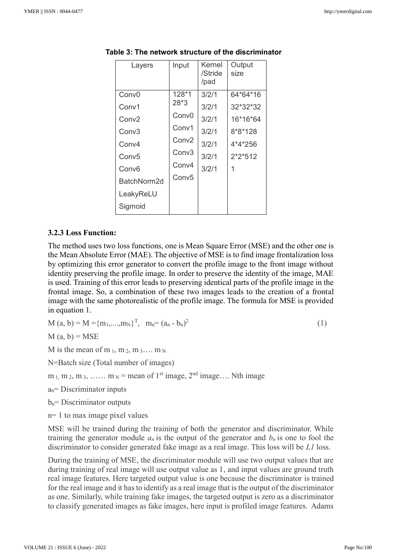| Layers            | Input             | Kernel<br>/Stride<br>/pad | Output<br>size |
|-------------------|-------------------|---------------------------|----------------|
| Conv <sub>0</sub> | 128*1             | 3/2/1                     | 64*64*16       |
| Conv1             | $28*3$            | 3/2/1                     | 32*32*32       |
| Conv <sub>2</sub> | Conv <sub>0</sub> | 3/2/1                     | 16*16*64       |
| Conv <sub>3</sub> | Conv1             | 3/2/1                     | 8*8*128        |
| Conv4             | Conv <sub>2</sub> | 3/2/1                     | 4*4*256        |
| Conv <sub>5</sub> | Conv <sub>3</sub> | 3/2/1                     | $2*2*512$      |
| Conv <sub>6</sub> | Conv4             | 3/2/1                     | 1              |
| BatchNorm2d       | Conv <sub>5</sub> |                           |                |
| LeakyReLU         |                   |                           |                |
| Sigmoid           |                   |                           |                |

**Table 3: The network structure of the discriminator**

#### **3.2.3 Loss Function:**

The method uses two loss functions, one is Mean Square Error (MSE) and the other one is the Mean Absolute Error (MAE). The objective of MSE is to find image frontalization loss by optimizing this error generator to convert the profile image to the front image without identity preserving the profile image. In order to preserve the identity of the image, MAE is used. Training of this error leads to preserving identical parts of the profile image in the frontal image. So, a combination of these two images leads to the creation of a frontal image with the same photorealistic of the profile image. The formula for MSE is provided in equation 1.

$$
M(a, b) = M = \{m_1, \dots, m_N\}^T, \quad m_n = (a_n - b_n)^2 \tag{1}
$$

 $M(a, b) = MSE$ 

M is the mean of m  $_1$ , m  $_2$ , m  $_3$ .... m  $_N$ 

N=Batch size (Total number of images)

 $m_1, m_2, m_3, \ldots, m_N$  = mean of 1<sup>st</sup> image,  $2<sup>nd</sup>$  image.... Nth image

 $a_n$ = Discriminator inputs

 $b_n$ = Discriminator outputs

n= 1 to max image pixel values

MSE will be trained during the training of both the generator and discriminator. While training the generator module  $a_n$  is the output of the generator and  $b_n$  is one to fool the discriminator to consider generated fake image as a real image. This loss will be *L1* loss.

During the training of MSE, the discriminator module will use two output values that are during training of real image will use output value as 1, and input values are ground truth real image features. Here targeted output value is one because the discriminator is trained for the real image and it has to identify as a real image that is the output of the discriminator as one. Similarly, while training fake images, the targeted output is zero as a discriminator to classify generated images as fake images, here input is profiled image features. Adams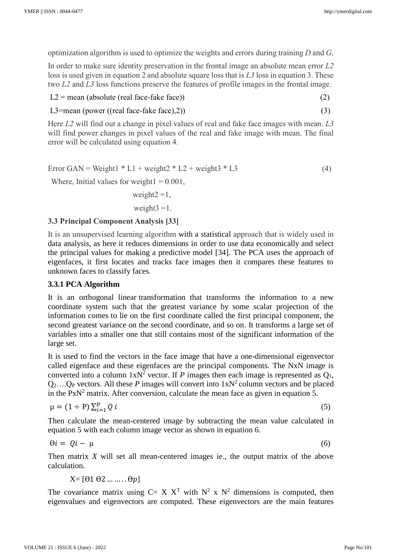optimization algorithm is used to optimize the weights and errors during training *D* and *G*.

In order to make sure identity preservation in the frontal image an absolute mean error *L2* loss is used given in equation 2 and absolute square loss that is *L3* loss in equation 3. These two *L2* and *L3* loss functions preserve the features of profile images in the frontal image.

 $L2 =$  mean (absolute (real face-fake face)) (2)

L3=mean (power ((real face-fake face),2))  $(3)$ 

Here *L2* will find out a change in pixel values of real and fake face images with mean. *L3* will find power changes in pixel values of the real and fake image with mean. The final error will be calculated using equation 4.

$$
Error GAN = Weight1 * L1 + weight2 * L2 + weight3 * L3
$$
\n(4)

Where, Initial values for weight $1 = 0.001$ ,

weight $2 = 1$ , weight $3 = 1$ .

#### **3.3 Principal Component Analysis [33]**

It is an unsupervised learning algorithm with a statistical approach that is widely used in data analysis, as here it reduces dimensions in order to use data economically and select the principal values for making a predictive model [34]. The PCA uses the approach of eigenfaces, it first locates and tracks face images then it compares these features to unknown faces to classify faces.

#### **3.3.1 PCA Algorithm**

It is an orthogonal linear transformation that transforms the information to a new coordinate system such that the greatest variance by some scalar projection of the information comes to lie on the first coordinate called the first principal component, the second greatest variance on the second coordinate, and so on. It transforms a large set of variables into a smaller one that still contains most of the significant information of the large set.

It is used to find the vectors in the face image that have a one-dimensional eigenvector called eigenface and these eigenfaces are the principal components. The NxN image is converted into a column  $1xN^2$  vector. If *P* images then each image is represented as  $Q_1$ ,  $Q_2$ .... $Q_P$  vectors. All these P images will convert into  $1xN^2$  column vectors and be placed in the  $PxN<sup>2</sup>$  matrix. After conversion, calculate the mean face as given in equation 5.

$$
\mu = (1 \div P) \sum_{i=1}^{p} Q_i \tag{5}
$$

Then calculate the mean-centered image by subtracting the mean value calculated in equation 5 with each column image vector as shown in equation 6.

 $\Theta i = Oi - \mu$  (6)

Then matrix *X* will set all mean-centered images ie., the output matrix of the above calculation.

 $X=[01 02 ... ... 0p]$ 

The covariance matrix using C= X  $X<sup>T</sup>$  with N<sup>2</sup> x N<sup>2</sup> dimensions is computed, then eigenvalues and eigenvectors are computed. These eigenvectors are the main features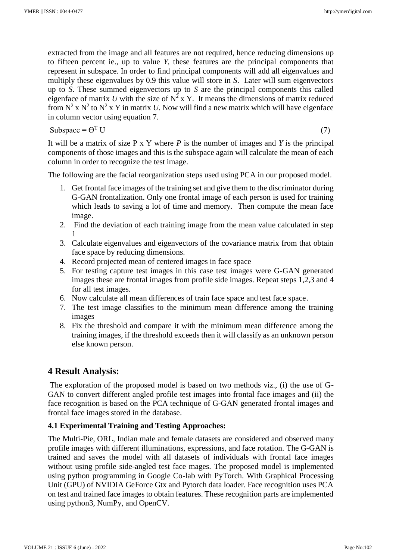extracted from the image and all features are not required, hence reducing dimensions up to fifteen percent ie., up to value *Y*, these features are the principal components that represent in subspace. In order to find principal components will add all eigenvalues and multiply these eigenvalues by 0.9 this value will store in *S*. Later will sum eigenvectors up to *S*. These summed eigenvectors up to *S* are the principal components this called eigenface of matrix U with the size of  $N^2 \times Y$ . It means the dimensions of matrix reduced from  $N^2$  x  $N^2$  to  $N^2$  x Y in matrix *U*. Now will find a new matrix which will have eigenface in column vector using equation 7.

$$
Subspace = \Theta^{\mathrm{T}} \, U \tag{7}
$$

It will be a matrix of size P x Y where *P* is the number of images and *Y* is the principal components of those images and this is the subspace again will calculate the mean of each column in order to recognize the test image.

The following are the facial reorganization steps used using PCA in our proposed model.

- 1. Get frontal face images of the training set and give them to the discriminator during G-GAN frontalization. Only one frontal image of each person is used for training which leads to saving a lot of time and memory. Then compute the mean face image.
- 2. Find the deviation of each training image from the mean value calculated in step 1
- 3. Calculate eigenvalues and eigenvectors of the covariance matrix from that obtain face space by reducing dimensions.
- 4. Record projected mean of centered images in face space
- 5. For testing capture test images in this case test images were G-GAN generated images these are frontal images from profile side images. Repeat steps 1,2,3 and 4 for all test images.
- 6. Now calculate all mean differences of train face space and test face space.
- 7. The test image classifies to the minimum mean difference among the training images
- 8. Fix the threshold and compare it with the minimum mean difference among the training images, if the threshold exceeds then it will classify as an unknown person else known person.

# **4 Result Analysis:**

The exploration of the proposed model is based on two methods viz., (i) the use of G-GAN to convert different angled profile test images into frontal face images and (ii) the face recognition is based on the PCA technique of G-GAN generated frontal images and frontal face images stored in the database.

### **4.1 Experimental Training and Testing Approaches:**

The Multi-Pie, ORL, Indian male and female datasets are considered and observed many profile images with different illuminations, expressions, and face rotation. The G-GAN is trained and saves the model with all datasets of individuals with frontal face images without using profile side-angled test face mages. The proposed model is implemented using python programming in Google Co-lab with PyTorch. With Graphical Processing Unit (GPU) of NVIDIA GeForce Gtx and Pytorch data loader. Face recognition uses PCA on test and trained face images to obtain features. These recognition parts are implemented using python3, NumPy, and OpenCV.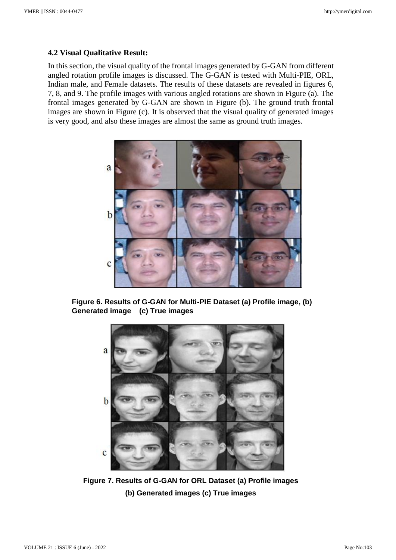#### **4.2 Visual Qualitative Result:**

In this section, the visual quality of the frontal images generated by G-GAN from different angled rotation profile images is discussed. The G-GAN is tested with Multi-PIE, ORL, Indian male, and Female datasets. The results of these datasets are revealed in figures 6, 7, 8, and 9. The profile images with various angled rotations are shown in Figure (a). The frontal images generated by G-GAN are shown in Figure (b). The ground truth frontal images are shown in Figure (c). It is observed that the visual quality of generated images is very good, and also these images are almost the same as ground truth images.



**Figure 6. Results of G-GAN for Multi-PIE Dataset (a) Profile image, (b) Generated image (c) True images** 



**Figure 7. Results of G-GAN for ORL Dataset (a) Profile images (b) Generated images (c) True images**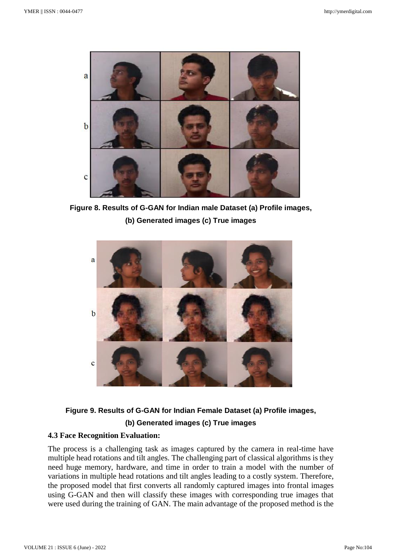

**Figure 8. Results of G-GAN for Indian male Dataset (a) Profile images, (b) Generated images (c) True images**



# **Figure 9. Results of G-GAN for Indian Female Dataset (a) Profile images, (b) Generated images (c) True images**

### **4.3 Face Recognition Evaluation:**

The process is a challenging task as images captured by the camera in real-time have multiple head rotations and tilt angles. The challenging part of classical algorithms is they need huge memory, hardware, and time in order to train a model with the number of variations in multiple head rotations and tilt angles leading to a costly system. Therefore, the proposed model that first converts all randomly captured images into frontal images using G-GAN and then will classify these images with corresponding true images that were used during the training of GAN. The main advantage of the proposed method is the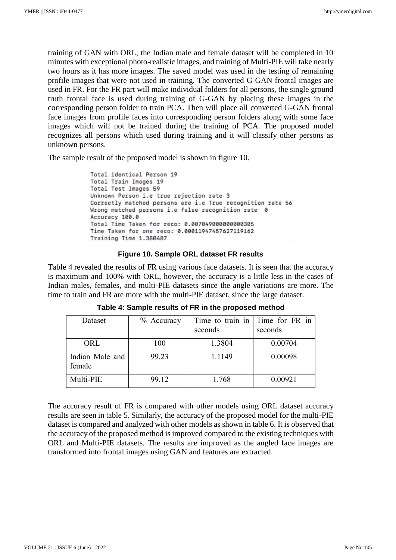training of GAN with ORL, the Indian male and female dataset will be completed in 10 minutes with exceptional photo-realistic images, and training of Multi-PIE will take nearly two hours as it has more images. The saved model was used in the testing of remaining profile images that were not used in training. The converted G-GAN frontal images are used in FR. For the FR part will make individual folders for all persons, the single ground truth frontal face is used during training of G-GAN by placing these images in the corresponding person folder to train PCA. Then will place all converted G-GAN frontal face images from profile faces into corresponding person folders along with some face images which will not be trained during the training of PCA. The proposed model recognizes all persons which used during training and it will classify other persons as unknown persons.

The sample result of the proposed model is shown in figure 10.

```
Total identical Person 19
Total Train Images 19
Total Test Images 59
Unknown Person i.e true rejection rate 3
Correctly matched persons are i.e True recognition rate 56
Wrong matched persons i.e false recognition rate 0
Accuracy 100.0
Total Time Taken for reco: 0.0070490000000000305
Time Taken for one reco: 0.00011947457627119162
Training Time 1.380487
```
#### **Figure 10. Sample ORL dataset FR results**

Table 4 revealed the results of FR using various face datasets. It is seen that the accuracy is maximum and 100% with ORL, however, the accuracy is a little less in the cases of Indian males, females, and multi-PIE datasets since the angle variations are more. The time to train and FR are more with the multi-PIE dataset, since the large dataset.

| Dataset                   | $%$ Accuracy | Time to train in Time for FR in<br>seconds | seconds |
|---------------------------|--------------|--------------------------------------------|---------|
|                           |              |                                            |         |
| ORL                       | 100          | 1.3804                                     | 0.00704 |
| Indian Male and<br>female | 99.23        | 1.1149                                     | 0.00098 |
| Multi-PIE                 | 99.12        | 1.768                                      | 0.00921 |

**Table 4: Sample results of FR in the proposed method**

The accuracy result of FR is compared with other models using ORL dataset accuracy results are seen in table 5. Similarly, the accuracy of the proposed model for the multi-PIE dataset is compared and analyzed with other models as shown in table 6. It is observed that the accuracy of the proposed method is improved compared to the existing techniques with ORL and Multi-PIE datasets. The results are improved as the angled face images are transformed into frontal images using GAN and features are extracted.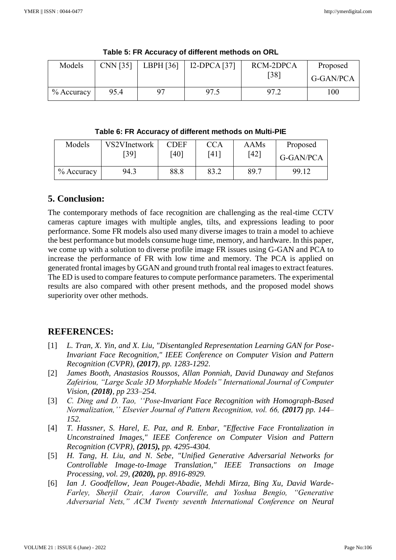| Models       | CNN [35] | LBPH [36] | I2-DPCA [37] | RCM-2DPCA | Proposed  |
|--------------|----------|-----------|--------------|-----------|-----------|
|              |          |           |              | [38]      | G-GAN/PCA |
| $%$ Accuracy | 95.4     |           | 97.5         | 97.2      | 100       |

**Table 5: FR Accuracy of different methods on ORL**

### **Table 6: FR Accuracy of different methods on Multi-PIE**

| Models       | VS2VInetwork | <b>CDEF</b> | <b>CCA</b> | AAMs | Proposed  |
|--------------|--------------|-------------|------------|------|-----------|
|              | 391          | [40]        | ן 14       | [42] | G-GAN/PCA |
| $%$ Accuracy | 94.3         | 88.8        | 83.2       | 89.7 | 99.12     |

# **5. Conclusion:**

The contemporary methods of face recognition are challenging as the real-time CCTV cameras capture images with multiple angles, tilts, and expressions leading to poor performance. Some FR models also used many diverse images to train a model to achieve the best performance but models consume huge time, memory, and hardware. In this paper, we come up with a solution to diverse profile image FR issues using G-GAN and PCA to increase the performance of FR with low time and memory. The PCA is applied on generated frontal images by GGAN and ground truth frontal real images to extract features. The ED is used to compare features to compute performance parameters. The experimental results are also compared with other present methods, and the proposed model shows superiority over other methods.

# **REFERENCES:**

- [1] L. Tran, X. Yin, and X. Liu, "Disentangled Representation Learning GAN for Pose-*Invariant Face Recognition," IEEE Conference on Computer Vision and Pattern Recognition (CVPR), (2017), pp. 1283-1292*.
- [2] *James Booth, Anastasios Roussos, Allan Ponniah, David Dunaway and Stefanos Zafeiriou, "Large Scale 3D Morphable Models" International Journal of Computer Vision, (2018), pp 233–254.*
- [3] *C. Ding and D. Tao, ''Pose-Invariant Face Recognition with Homograph-Based Normalization,'' Elsevier Journal of Pattern Recognition, vol. 66, (2017) pp. 144– 152.*
- [4] *T. Hassner, S. Harel, E. Paz, and R. Enbar, "Effective Face Frontalization in Unconstrained Images," IEEE Conference on Computer Vision and Pattern Recognition (CVPR), (2015), pp. 4295-4304.*
- [5] *H. Tang, H. Liu, and N. Sebe, "Unified Generative Adversarial Networks for Controllable Image-to-Image Translation," IEEE Transactions on Image Processing, vol. 29, (2020), pp. 8916-8929.*
- [6] *Ian J. Goodfellow, Jean Pouget-Abadie, Mehdi Mirza, Bing Xu, David Warde-Farley, Sherjil Ozair, Aaron Courville, and Yoshua Bengio, "Generative Adversarial Nets," ACM Twenty seventh International Conference on Neural*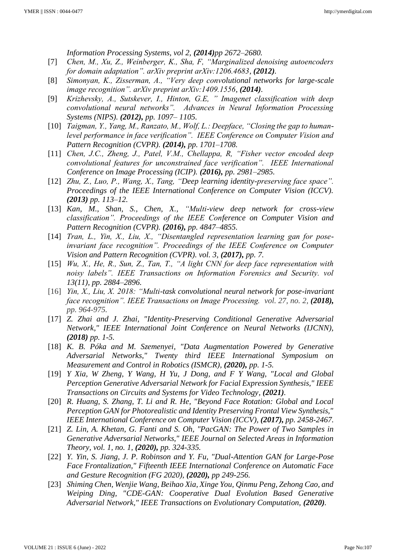*Information Processing Systems, vol 2, (2014)pp 2672–2680.*

- [7] *Chen, M., Xu, Z., Weinberger, K., Sha, F, "Marginalized denoising autoencoders for domain adaptation". arXiv preprint arXiv:1206.4683, (2012).*
- [8] *Simonyan, K., Zisserman, A., "Very deep convolutional networks for large-scale image recognition". arXiv preprint arXiv:1409.1556, (2014).*
- [9] *Krizhevsky, A., Sutskever, I., Hinton, G.E, " Imagenet classification with deep convolutional neural networks". Advances in Neural Information Processing Systems (NIPS). (2012), pp. 1097– 1105.*
- [10] *Taigman, Y., Yang, M., Ranzato, M., Wolf, L.: Deepface, "Closing the gap to humanlevel performance in face verification". IEEE Conference on Computer Vision and Pattern Recognition (CVPR). (2014), pp. 1701–1708.*
- [11] *Chen, J.C., Zheng, J., Patel, V.M., Chellappa, R, "Fisher vector encoded deep convolutional features for unconstrained face verification". IEEE International Conference on Image Processing (ICIP). (2016), pp. 2981–2985.*
- [12] *Zhu, Z., Luo, P., Wang, X., Tang, "Deep learning identity-preserving face space". Proceedings of the IEEE International Conference on Computer Vision (ICCV). (2013) pp. 113–12.*
- [13] *Kan, M., Shan, S., Chen, X., "Multi-view deep network for cross-view classification". Proceedings of the IEEE Conference on Computer Vision and Pattern Recognition (CVPR). (2016), pp. 4847–4855.*
- [14] *Tran, L., Yin, X., Liu, X., "Disentangled representation learning gan for poseinvariant face recognition". Proceedings of the IEEE Conference on Computer Vision and Pattern Recognition (CVPR). vol. 3, (2017), pp. 7.*
- [15] *Wu, X., He, R., Sun, Z., Tan, T., "A light CNN for deep face representation with noisy labels". IEEE Transactions on Information Forensics and Security. vol 13(11), pp. 2884–2896.*
- [16] *Yin, X., Liu, X. 2018: "Multi-task convolutional neural network for pose-invariant face recognition". IEEE Transactions on Image Processing. vol. 27, no. 2, (2018), pp. 964-975.*
- [17] *Z. Zhai and J. Zhai, "Identity-Preserving Conditional Generative Adversarial Network," IEEE International Joint Conference on Neural Networks (IJCNN), (2018) pp. 1-5.*
- [18] *K. B. Póka and M. Szemenyei, "Data Augmentation Powered by Generative Adversarial Networks," Twenty third IEEE International Symposium on Measurement and Control in Robotics (ISMCR), (2020), pp. 1-5.*
- [19] *Y Xia, W Zheng, Y Wang, H Yu, J Dong, and F Y Wang, "Local and Global Perception Generative Adversarial Network for Facial Expression Synthesis," IEEE Transactions on Circuits and Systems for Video Technology, (2021).*
- [20] *R. Huang, S. Zhang, T. Li and R. He, "Beyond Face Rotation: Global and Local Perception GAN for Photorealistic and Identity Preserving Frontal View Synthesis," IEEE International Conference on Computer Vision (ICCV), (2017), pp. 2458-2467.*
- [21] *Z. Lin, A. Khetan, G. Fanti and S. Oh, "PacGAN: The Power of Two Samples in Generative Adversarial Networks," IEEE Journal on Selected Areas in Information Theory, vol. 1, no. 1, (2020), pp. 324-335.*
- [22] *Y. Yin, S. Jiang, J. P. Robinson and Y. Fu, "Dual-Attention GAN for Large-Pose Face Frontalization," Fifteenth IEEE International Conference on Automatic Face and Gesture Recognition (FG 2020), (2020), pp 249-256.*
- [23] *Shiming Chen, Wenjie Wang, Beihao Xia, Xinge You, Qinmu Peng, Zehong Cao, and Weiping Ding, "CDE-GAN: Cooperative Dual Evolution Based Generative Adversarial Network," IEEE Transactions on Evolutionary Computation, (2020).*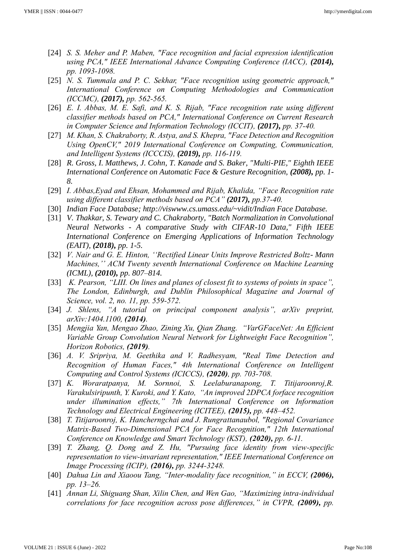- [24] *S. S. Meher and P. Maben, "Face recognition and facial expression identification using PCA," IEEE International Advance Computing Conference (IACC), (2014), pp. 1093-1098.*
- [25] *N. S. Tummala and P. C. Sekhar, "Face recognition using geometric approach," International Conference on Computing Methodologies and Communication (ICCMC), (2017), pp. 562-565.*
- [26] *E. I. Abbas, M. E. Safi, and K. S. Rijab, "Face recognition rate using different classifier methods based on PCA," International Conference on Current Research in Computer Science and Information Technology (ICCIT), (2017), pp. 37-40.*
- [27] *M. Khan, S. Chakraborty, R. Astya, and S. Khepra, "Face Detection and Recognition Using OpenCV," 2019 International Conference on Computing, Communication, and Intelligent Systems (ICCCIS), (2019), pp. 116-119.*
- [28] *R. Gross, I. Matthews, J. Cohn, T. Kanade and S. Baker, "Multi-PIE," Eighth IEEE International Conference on Automatic Face & Gesture Recognition, (2008), pp. 1-8.*
- [29] *I. Abbas,Eyad and Ehsan, Mohammed and Rijab, Khalida, "Face Recognition rate using different classifier methods based on PCA" (2017), pp.37-40.*
- [30] *Indian Face Database; http://viswww.cs.umass.edu/~vidit/Indian Face Database.*
- [31] *V. Thakkar, S. Tewary and C. Chakraborty, "Batch Normalization in Convolutional Neural Networks - A comparative Study with CIFAR-10 Data," Fifth IEEE International Conference on Emerging Applications of Information Technology (EAIT), (2018), pp. 1-5.*
- [32] *V. Nair and G. E. Hinton, ''Rectified Linear Units Improve Restricted Boltz- Mann Machines,'' ACM Twenty seventh International Conference on Machine Learning (ICML), (2010), pp. 807–814.*
- [33] *K. Pearson, "LIII. On lines and planes of closest fit to systems of points in space", The London, Edinburgh, and Dublin Philosophical Magazine and Journal of Science, vol. 2, no. 11, pp. 559-572.*
- [34] *J. Shlens, "A tutorial on principal component analysis", arXiv preprint, arXiv:1404.1100, (2014).*
- [35] *Mengjia Yan, Mengao Zhao, Zining Xu, Qian Zhang. "VarGFaceNet: An Efficient Variable Group Convolution Neural Network for Lightweight Face Recognition", Horizon Robotics, (2019).*
- [36] *A. V. Sripriya, M. Geethika and V. Radhesyam, "Real Time Detection and Recognition of Human Faces," 4th International Conference on Intelligent Computing and Control Systems (ICICCS), (2020), pp. 703-708.*
- [37] *K. Woraratpanya, M. Sornnoi, S. Leelaburanapong, T. Titijaroonroj,R. Varakulsiripunth, Y. Kuroki, and Y. Kato, "An improved 2DPCA forface recognition under illumination effects," 7th International Conference on Information Technology and Electrical Engineering (ICITEE), (2015), pp. 448–452.*
- [38] *T. Titijaroonroj, K. Hancherngchai and J. Rungrattanaubol, "Regional Covariance Matrix-Based Two-Dimensional PCA for Face Recognition," 12th International Conference on Knowledge and Smart Technology (KST), (2020), pp. 6-11.*
- [39] *T. Zhang, Q. Dong and Z. Hu, "Pursuing face identity from view-specific representation to view-invariant representation," IEEE International Conference on Image Processing (ICIP), (2016), pp. 3244-3248.*
- [40] *Dahua Lin and Xiaoou Tang, "Inter-modality face recognition," in ECCV, (2006), pp. 13–26.*
- [41] *Annan Li, Shiguang Shan, Xilin Chen, and Wen Gao, "Maximizing intra-individual correlations for face recognition across pose differences," in CVPR, (2009), pp.*